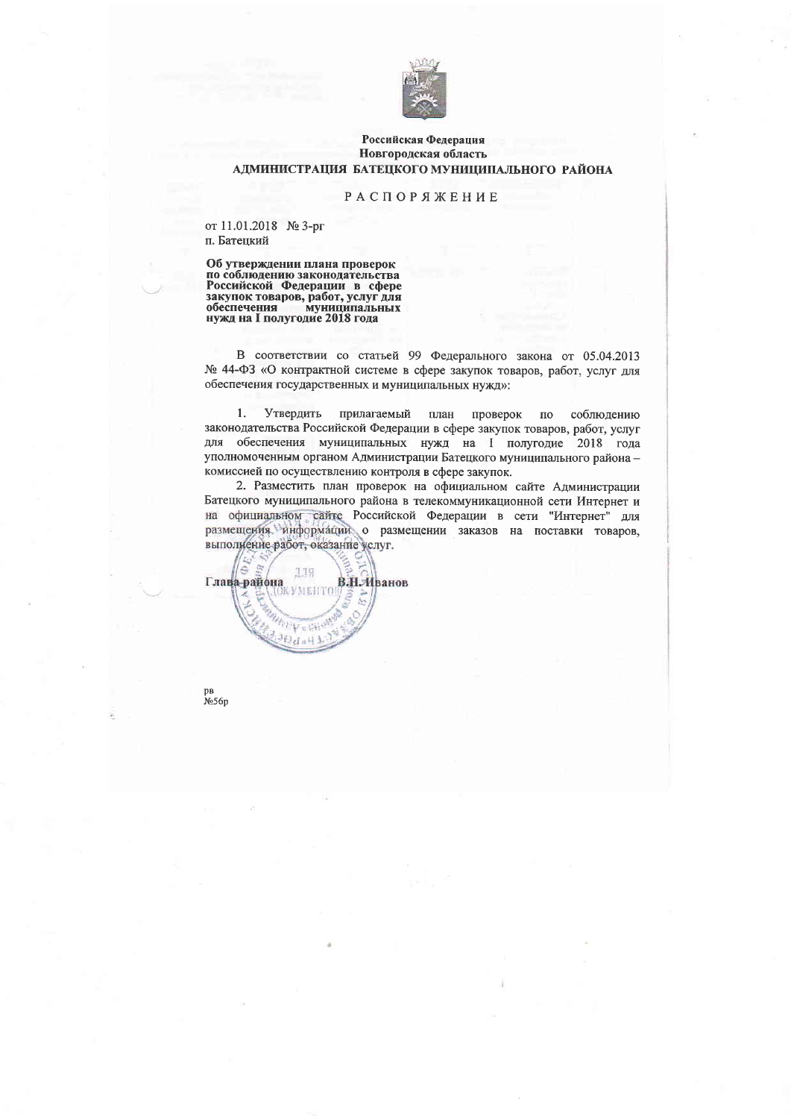

## Российская Федерация Новгородская область АДМИНИСТРАЦИЯ БАТЕЦКОГО МУНИЦИПАЛЬНОГО РАЙОНА

## **РАСПОРЯЖЕНИЕ**

от 11.01.2018 № 3-рг п. Батецкий

Об утверждении плана проверок по соблюдению законодательства<br>Российской Федерации в сфере<br>закупок товаров, работ, услуг для однуток товаров, расст, устуг для<br>обеспечения муниципальных<br>нужд на I полугодие 2018 года

В соответствии со статьей 99 Федерального закона от 05.04.2013 № 44-ФЗ «О контрактной системе в сфере закупок товаров, работ, услуг для обеспечения государственных и муниципальных нужд»:

1. Утвердить прилагаемый план проверок  $\overline{10}$ соблюдению законодательства Российской Федерации в сфере закупок товаров, работ, услуг для обеспечения муниципальных нужд на I полугодие 2018 года уполномоченным органом Администрации Батецкого муниципального района комиссией по осуществлению контроля в сфере закупок.

2. Разместить план проверок на официальном сайте Администрации Батецкого муниципального района в телекоммуникационной сети Интернет и на официальном сайте Российской Федерации в сети "Интернет" для размещения. информации о размещении заказов на поставки товаров, выполнение работ, оказание услуг.



pв No<sub>56p</sub>